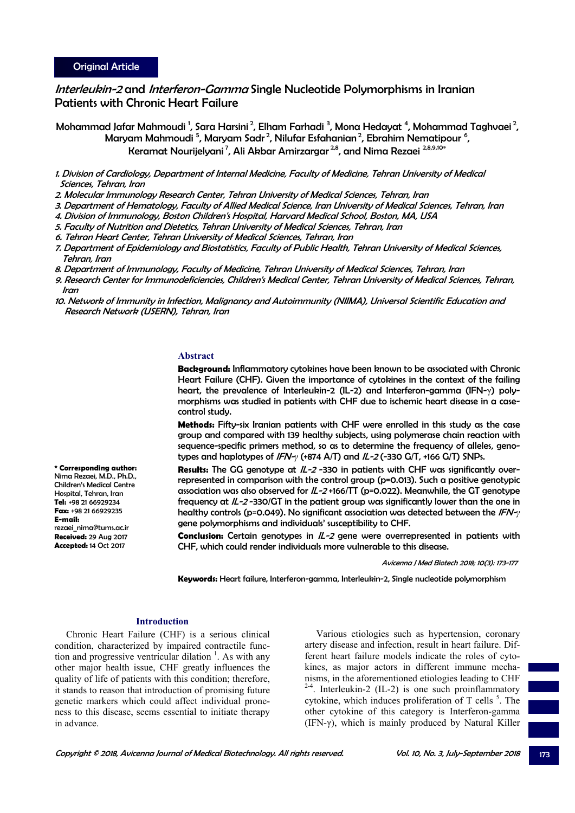**\* Corresponding author:**  Nima Rezaei, M.D., Ph.D., Children's Medical Centre Hospital, Tehran, Iran **Tel:** +98 21 66929234 **Fax:** +98 21 66929235

rezaei\_nima@tums.ac.ir **Received:** 29 Aug 2017 **Accepted:** 14 Oct 2017

**E-mail:**

# Interleukin-2 and Interferon-Gamma Single Nucleotide Polymorphisms in Iranian Patients with Chronic Heart Failure

Mohammad Jafar Mahmoudi <sup>1</sup>, Sara Harsini <sup>2</sup>, Elham Farhadi <sup>3</sup>, Mona Hedayat <sup>4</sup>, Mohammad Taghvaei <sup>2</sup>, Maryam Mahmoudi <sup>5</sup>, Maryam Sadr<sup>2</sup>, Nilufar Esfahanian<sup>2</sup>, Ebrahim Nematipour <sup>6</sup>, Keramat Nourijelyani<sup>7</sup>, Ali Akbar Amirzargar<sup>2,8</sup>, and Nima Rezaei <sup>2,8,9,10\*</sup>

- 1. Division of Cardiology, Department of Internal Medicine, Faculty of Medicine, Tehran University of Medical Sciences, Tehran, Iran
- 2. Molecular Immunology Research Center, Tehran University of Medical Sciences, Tehran, Iran
- 3. Department of Hematology, Faculty of Allied Medical Science, Iran University of Medical Sciences, Tehran, Iran
- 4. Division of Immunology, Boston Children's Hospital, Harvard Medical School, Boston, MA, USA
- 5. Faculty of Nutrition and Dietetics, Tehran University of Medical Sciences, Tehran, Iran
- 6. Tehran Heart Center, Tehran University of Medical Sciences, Tehran, Iran
- 7. Department of Epidemiology and Biostatistics, Faculty of Public Health, Tehran University of Medical Sciences, Tehran, Iran
- 8. Department of Immunology, Faculty of Medicine, Tehran University of Medical Sciences, Tehran, Iran
- 9. Research Center for Immunodeficiencies, Children's Medical Center, Tehran University of Medical Sciences, Tehran, Iran
- 10. Network of Immunity in Infection, Malignancy and Autoimmunity (NIIMA), Universal Scientific Education and Research Network (USERN), Tehran, Iran

## **Abstract**

**Background:** Inflammatory cytokines have been known to be associated with Chronic Heart Failure (CHF). Given the importance of cytokines in the context of the failing heart, the prevalence of Interleukin-2 (IL-2) and Interferon-gamma (IFN-γ) polymorphisms was studied in patients with CHF due to ischemic heart disease in a casecontrol study.

**Methods:** Fifty-six Iranian patients with CHF were enrolled in this study as the case group and compared with 139 healthy subjects, using polymerase chain reaction with sequence-specific primers method, so as to determine the frequency of alleles, genotypes and haplotypes of IFN-*γ* (+874 A/T) and IL-2 (-330 G/T, +166 G/T) SNPs.

**Results:** The GG genotype at  $/L$ -2-330 in patients with CHF was significantly overrepresented in comparison with the control group (p=0.013). Such a positive genotypic association was also observed for IL-2 +166/TT (p=0.022). Meanwhile, the GT genotype frequency at  $/L$ -2-330/GT in the patient group was significantly lower than the one in healthy controls (p=0.049). No significant association was detected between the IFN-*γ* gene polymorphisms and individuals' susceptibility to CHF.

**Conclusion:** Certain genotypes in IL-2 gene were overrepresented in patients with CHF, which could render individuals more vulnerable to this disease.

Avicenna J Med Biotech 2018; 10(3): 173-177

**Keywords:** Heart failure, Interferon-gamma, Interleukin-2, Single nucleotide polymorphism

## **Introduction**

Chronic Heart Failure (CHF) is a serious clinical condition, characterized by impaired contractile function and progressive ventricular dilation  $<sup>1</sup>$ . As with any</sup> other major health issue, CHF greatly influences the quality of life of patients with this condition; therefore, it stands to reason that introduction of promising future genetic markers which could affect individual proneness to this disease, seems essential to initiate therapy in advance.

Various etiologies such as hypertension, coronary artery disease and infection, result in heart failure. Different heart failure models indicate the roles of cytokines, as major actors in different immune mechanisms, in the aforementioned etiologies leading to CHF  $2-4$ . Interleukin-2 (IL-2) is one such proinflammatory cytokine, which induces proliferation of  $T$  cells  $<sup>5</sup>$ . The</sup> other cytokine of this category is Interferon-gamma (IFN- $\gamma$ ), which is mainly produced by Natural Killer

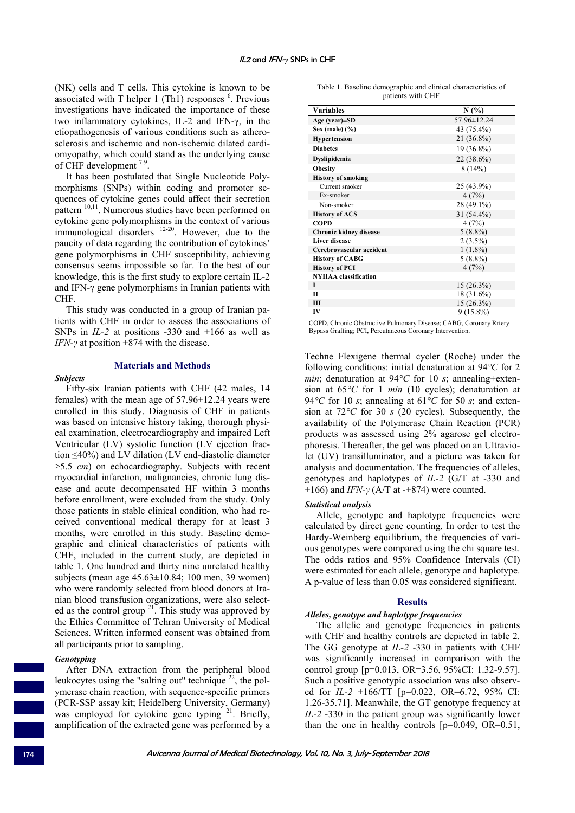(NK) cells and T cells. This cytokine is known to be associated with  $T$  helper 1 (Th1) responses  $<sup>6</sup>$ . Previous</sup> investigations have indicated the importance of these two inflammatory cytokines, IL-2 and IFN-γ, in the etiopathogenesis of various conditions such as atherosclerosis and ischemic and non-ischemic dilated cardiomyopathy, which could stand as the underlying cause of CHF development  $7-9$ .

It has been postulated that Single Nucleotide Polymorphisms (SNPs) within coding and promoter sequences of cytokine genes could affect their secretion pattern <sup>10,11</sup>. Numerous studies have been performed on cytokine gene polymorphisms in the context of various immunological disorders 12-20. However, due to the paucity of data regarding the contribution of cytokines' gene polymorphisms in CHF susceptibility, achieving consensus seems impossible so far. To the best of our knowledge, this is the first study to explore certain IL-2 and IFN-γ gene polymorphisms in Iranian patients with CHF.

This study was conducted in a group of Iranian patients with CHF in order to assess the associations of SNPs in *IL-2* at positions -330 and +166 as well as *IFN-γ* at position +874 with the disease.

## **Materials and Methods**

## *Subjects*

Fifty-six Iranian patients with CHF (42 males, 14 females) with the mean age of 57.96±12.24 years were enrolled in this study. Diagnosis of CHF in patients was based on intensive history taking, thorough physical examination, electrocardiography and impaired Left Ventricular (LV) systolic function (LV ejection fraction ≤40%) and LV dilation (LV end-diastolic diameter >5.5 *cm*) on echocardiography. Subjects with recent myocardial infarction, malignancies, chronic lung disease and acute decompensated HF within 3 months before enrollment, were excluded from the study. Only those patients in stable clinical condition, who had received conventional medical therapy for at least 3 months, were enrolled in this study. Baseline demographic and clinical characteristics of patients with CHF, included in the current study, are depicted in table 1. One hundred and thirty nine unrelated healthy subjects (mean age 45.63±10.84; 100 men, 39 women) who were randomly selected from blood donors at Iranian blood transfusion organizations, were also selected as the control group  $2^1$ . This study was approved by the Ethics Committee of Tehran University of Medical Sciences. Written informed consent was obtained from all participants prior to sampling.

# *Genotyping*

After DNA extraction from the peripheral blood leukocytes using the "salting out" technique  $^{22}$ , the polymerase chain reaction, with sequence-specific primers (PCR-SSP assay kit; Heidelberg University, Germany) was employed for cytokine gene typing <sup>21</sup>. Briefly, amplification of the extracted gene was performed by a

|  |                   | Table 1. Baseline demographic and clinical characteristics of |  |
|--|-------------------|---------------------------------------------------------------|--|
|  | patients with CHF |                                                               |  |

| <b>Variables</b>              | N(%)         |
|-------------------------------|--------------|
| Age (year) $\pm SD$           | 57.96±12.24  |
| Sex (male) $(\% )$            | 43 (75.4%)   |
| <b>Hypertension</b>           | $21(36.8\%)$ |
| <b>Diabetes</b>               | 19 (36.8%)   |
| <b>Dyslipidemia</b>           | $22(38.6\%)$ |
| <b>Obesity</b>                | 8(14%)       |
| <b>History of smoking</b>     |              |
| Current smoker                | 25 (43.9%)   |
| Ex-smoker                     | 4(7%)        |
| Non-smoker                    | 28 (49.1%)   |
| <b>History of ACS</b>         | 31 (54.4%)   |
| <b>COPD</b>                   | 4(7%)        |
| <b>Chronic kidney disease</b> | $5(8.8\%)$   |
| <b>Liver disease</b>          | $2(3.5\%)$   |
| Cerebrovascular accident      | $1(1.8\%)$   |
| <b>History of CABG</b>        | $5(8.8\%)$   |
| <b>History of PCI</b>         | 4(7%)        |
| <b>NYHAA</b> classification   |              |
| T                             | $15(26.3\%)$ |
| $\mathbf{H}$                  | 18 (31.6%)   |
| Ш                             | $15(26.3\%)$ |
| IV                            | $9(15.8\%)$  |

COPD, Chronic Obstructive Pulmonary Disease; CABG, Coronary Rrtery Bypass Grafting; PCI, Percutaneous Coronary Intervention.

Techne Flexigene thermal cycler (Roche) under the following conditions: initial denaturation at 94*°C* for 2 *min*; denaturation at 94*°C* for 10 *s*; annealing+extension at 65*°C* for 1 *min* (10 cycles); denaturation at 94 $\degree$ C for 10 *s*; annealing at 61 $\degree$ C for 50 *s*; and extension at 72*°C* for 30 *s* (20 cycles). Subsequently, the availability of the Polymerase Chain Reaction (PCR) products was assessed using 2% agarose gel electrophoresis. Thereafter, the gel was placed on an Ultraviolet (UV) transilluminator, and a picture was taken for analysis and documentation. The frequencies of alleles, genotypes and haplotypes of *IL-2* (G/T at -330 and +166) and *IFN-γ* (A/T at -+874) were counted.

## *Statistical analysis*

Allele, genotype and haplotype frequencies were calculated by direct gene counting. In order to test the Hardy-Weinberg equilibrium, the frequencies of various genotypes were compared using the chi square test. The odds ratios and 95% Confidence Intervals (CI) were estimated for each allele, genotype and haplotype. A p-value of less than 0.05 was considered significant.

#### **Results**

#### *Alleles, genotype and haplotype frequencies*

The allelic and genotype frequencies in patients with CHF and healthy controls are depicted in table 2. The GG genotype at *IL-2* -330 in patients with CHF was significantly increased in comparison with the control group [p=0.013, OR=3.56, 95%CI: 1.32-9.57]. Such a positive genotypic association was also observed for *IL-2* +166/TT [p=0.022, OR=6.72, 95% CI: 1.26-35.71]. Meanwhile, the GT genotype frequency at *IL-2* -330 in the patient group was significantly lower than the one in healthy controls  $[p=0.049, OR=0.51]$ ,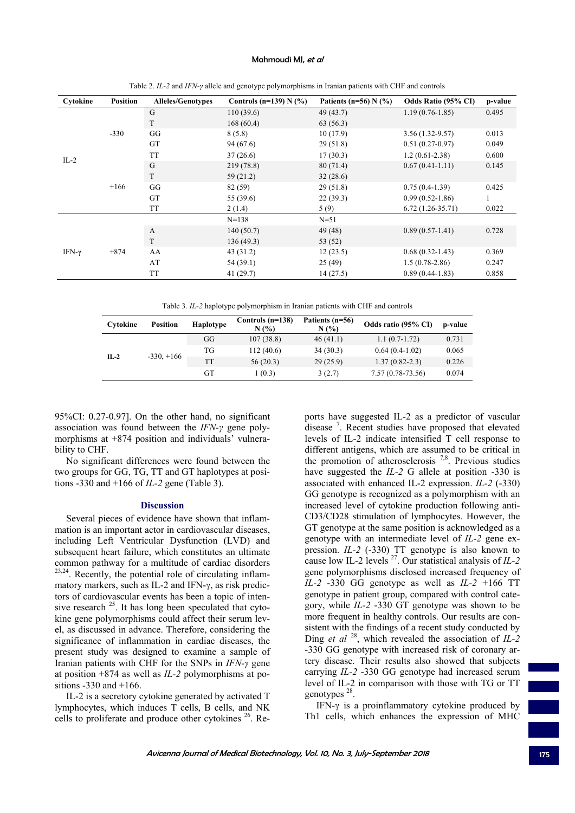## Mahmoudi MJ, et al

| Cytokine      | <b>Position</b> | <b>Alleles/Genotypes</b> | Controls (n=139) N $(\% )$ | Patients (n=56) $N$ (%) | Odds Ratio (95% CI) | p-value |
|---------------|-----------------|--------------------------|----------------------------|-------------------------|---------------------|---------|
| $IL-2$        | $-330$          | G                        | 110(39.6)                  | 49(43.7)                | $1.19(0.76 - 1.85)$ | 0.495   |
|               |                 | T                        | 168(60.4)                  | 63(56.3)                |                     |         |
|               |                 | GG                       | 8(5.8)                     | 10(17.9)                | $3.56(1.32-9.57)$   | 0.013   |
|               |                 | GT                       | 94(67.6)                   | 29(51.8)                | $0.51(0.27-0.97)$   | 0.049   |
|               |                 | <b>TT</b>                | 37(26.6)                   | 17(30.3)                | $1.2(0.61-2.38)$    | 0.600   |
|               | $+166$          | G                        | 219 (78.8)                 | 80(71.4)                | $0.67(0.41-1.11)$   | 0.145   |
|               |                 | T                        | 59(21.2)                   | 32(28.6)                |                     |         |
|               |                 | GG                       | 82 (59)                    | 29(51.8)                | $0.75(0.4-1.39)$    | 0.425   |
|               |                 | GT                       | 55 (39.6)                  | 22(39.3)                | $0.99(0.52 - 1.86)$ | 1       |
|               |                 | <b>TT</b>                | 2(1.4)                     | 5(9)                    | $6.72(1.26-35.71)$  | 0.022   |
|               |                 |                          | $N = 138$                  | $N = 51$                |                     |         |
| IFN- $\gamma$ | $+874$          | $\mathbf{A}$             | 140(50.7)                  | 49(48)                  | $0.89(0.57-1.41)$   | 0.728   |
|               |                 | T                        | 136(49.3)                  | 53 (52)                 |                     |         |
|               |                 | AA                       | 43(31.2)                   | 12(23.5)                | $0.68(0.32-1.43)$   | 0.369   |
|               |                 | AT                       | 54 (39.1)                  | 25(49)                  | $1.5(0.78-2.86)$    | 0.247   |
|               |                 | <b>TT</b>                | 41(29.7)                   | 14(27.5)                | $0.89(0.44 - 1.83)$ | 0.858   |

Table 2. *IL-2* and *IFN-γ* allele and genotype polymorphisms in Iranian patients with CHF and controls

Table 3. *IL-2* haplotype polymorphism in Iranian patients with CHF and controls

| Cytokine | <b>Position</b> | <b>Haplotype</b> | Controls (n=138)<br>N(% | Patients $(n=56)$<br>N(% | Odds ratio (95% CI) | p-value |
|----------|-----------------|------------------|-------------------------|--------------------------|---------------------|---------|
| $IL-2$   | $-330, +166$    | GG               | 107(38.8)               | 46(41.1)                 | $1.1(0.7-1.72)$     | 0.731   |
|          |                 | TG               | 112(40.6)               | 34(30.3)                 | $0.64(0.4-1.02)$    | 0.065   |
|          |                 | TT               | 56(20.3)                | 29(25.9)                 | $1.37(0.82 - 2.3)$  | 0.226   |
|          |                 | GТ               | 1(0.3)                  | 3(2.7)                   | $7.57(0.78-73.56)$  | 0.074   |

95%CI: 0.27-0.97]. On the other hand, no significant association was found between the *IFN-γ* gene polymorphisms at +874 position and individuals' vulnerability to CHF.

No significant differences were found between the two groups for GG, TG, TT and GT haplotypes at positions -330 and +166 of *IL-2* gene (Table 3).

#### **Discussion**

Several pieces of evidence have shown that inflammation is an important actor in cardiovascular diseases, including Left Ventricular Dysfunction (LVD) and subsequent heart failure, which constitutes an ultimate common pathway for a multitude of cardiac disorders 23,24. Recently, the potential role of circulating inflammatory markers, such as IL-2 and IFN-γ, as risk predictors of cardiovascular events has been a topic of intensive research  $25$ . It has long been speculated that cytokine gene polymorphisms could affect their serum level, as discussed in advance. Therefore, considering the significance of inflammation in cardiac diseases, the present study was designed to examine a sample of Iranian patients with CHF for the SNPs in *IFN-γ* gene at position +874 as well as *IL-2* polymorphisms at positions -330 and +166.

IL-2 is a secretory cytokine generated by activated T lymphocytes, which induces T cells, B cells, and NK cells to proliferate and produce other cytokines 26. Reports have suggested IL-2 as a predictor of vascular disease<sup>7</sup>. Recent studies have proposed that elevated levels of IL-2 indicate intensified T cell response to different antigens, which are assumed to be critical in the promotion of atherosclerosis  $7,8$ . Previous studies have suggested the *IL-2* G allele at position -330 is associated with enhanced IL-2 expression. *IL-2* (-330) GG genotype is recognized as a polymorphism with an increased level of cytokine production following anti-CD3/CD28 stimulation of lymphocytes. However, the GT genotype at the same position is acknowledged as a genotype with an intermediate level of *IL-2* gene expression. *IL-2* (-330) TT genotype is also known to cause low IL-2 levels 27. Our statistical analysis of *IL-2* gene polymorphisms disclosed increased frequency of *IL-2* -330 GG genotype as well as *IL-2* +166 TT genotype in patient group, compared with control category, while *IL-2* -330 GT genotype was shown to be more frequent in healthy controls. Our results are consistent with the findings of a recent study conducted by Ding *et al* 28, which revealed the association of *IL-2* -330 GG genotype with increased risk of coronary artery disease. Their results also showed that subjects carrying *IL-2* -330 GG genotype had increased serum level of IL-2 in comparison with those with TG or TT genotypes 28.

IFN-γ is a proinflammatory cytokine produced by Th1 cells, which enhances the expression of MHC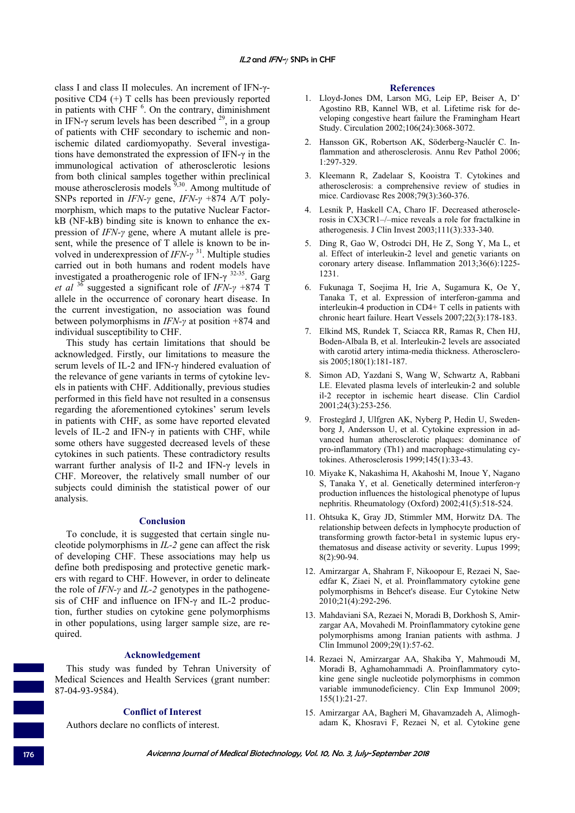class I and class II molecules. An increment of IFN-γpositive CD4 (+) T cells has been previously reported in patients with CHF  $<sup>6</sup>$ . On the contrary, diminishment</sup> in IFN-γ serum levels has been described  $2<sup>9</sup>$ , in a group of patients with CHF secondary to ischemic and nonischemic dilated cardiomyopathy. Several investigations have demonstrated the expression of IFN-γ in the immunological activation of atherosclerotic lesions from both clinical samples together within preclinical mouse atherosclerosis models  $\frac{9,30}{9}$ . Among multitude of SNPs reported in *IFN-γ* gene, *IFN-γ* +874 A/T polymorphism, which maps to the putative Nuclear FactorkB (NF-kB) binding site is known to enhance the expression of *IFN-γ* gene, where A mutant allele is present, while the presence of T allele is known to be involved in underexpression of *IFN-γ* 31. Multiple studies carried out in both humans and rodent models have investigated a proatherogenic role of IFN- $\gamma$ <sup>32-35</sup>. Garg *et al* 36 suggested a significant role of *IFN-γ* +874 T allele in the occurrence of coronary heart disease. In the current investigation, no association was found between polymorphisms in *IFN-γ* at position +874 and individual susceptibility to CHF.

This study has certain limitations that should be acknowledged. Firstly, our limitations to measure the serum levels of IL-2 and IFN-γ hindered evaluation of the relevance of gene variants in terms of cytokine levels in patients with CHF. Additionally, previous studies performed in this field have not resulted in a consensus regarding the aforementioned cytokines' serum levels in patients with CHF, as some have reported elevated levels of IL-2 and IFN-γ in patients with CHF, while some others have suggested decreased levels of these cytokines in such patients. These contradictory results warrant further analysis of Il-2 and IFN-γ levels in CHF. Moreover, the relatively small number of our subjects could diminish the statistical power of our analysis.

## **Conclusion**

To conclude, it is suggested that certain single nucleotide polymorphisms in *IL-2* gene can affect the risk of developing CHF. These associations may help us define both predisposing and protective genetic markers with regard to CHF. However, in order to delineate the role of *IFN-γ* and *IL-2* genotypes in the pathogenesis of CHF and influence on IFN-γ and IL-2 production, further studies on cytokine gene polymorphisms in other populations, using larger sample size, are required.

#### **Acknowledgement**

This study was funded by Tehran University of Medical Sciences and Health Services (grant number: 87-04-93-9584).

# **Conflict of Interest**

Authors declare no conflicts of interest.

#### **References**

- 1. Lloyd-Jones DM, Larson MG, Leip EP, Beiser A, D' Agostino RB, Kannel WB, et al. Lifetime risk for developing congestive heart failure the Framingham Heart Study. Circulation 2002;106(24):3068-3072.
- 2. Hansson GK, Robertson AK, Söderberg-Nauclér C. Inflammation and atherosclerosis. Annu Rev Pathol 2006; 1:297-329.
- 3. Kleemann R, Zadelaar S, Kooistra T. Cytokines and atherosclerosis: a comprehensive review of studies in mice. Cardiovasc Res 2008;79(3):360-376.
- 4. Lesnik P, Haskell CA, Charo IF. Decreased atherosclerosis in CX3CR1–/–mice reveals a role for fractalkine in atherogenesis. J Clin Invest 2003;111(3):333-340.
- 5. Ding R, Gao W, Ostrodci DH, He Z, Song Y, Ma L, et al. Effect of interleukin-2 level and genetic variants on coronary artery disease. Inflammation 2013;36(6):1225- 1231.
- 6. Fukunaga T, Soejima H, Irie A, Sugamura K, Oe Y, Tanaka T, et al. Expression of interferon-gamma and interleukin-4 production in CD4+ T cells in patients with chronic heart failure. Heart Vessels 2007;22(3):178-183.
- 7. Elkind MS, Rundek T, Sciacca RR, Ramas R, Chen HJ, Boden-Albala B, et al. Interleukin-2 levels are associated with carotid artery intima-media thickness. Atherosclerosis 2005;180(1):181-187.
- 8. Simon AD, Yazdani S, Wang W, Schwartz A, Rabbani LE. Elevated plasma levels of interleukin‐2 and soluble il‐2 receptor in ischemic heart disease. Clin Cardiol 2001;24(3):253-256.
- 9. Frostegård J, Ulfgren AK, Nyberg P, Hedin U, Swedenborg J, Andersson U, et al. Cytokine expression in advanced human atherosclerotic plaques: dominance of pro-inflammatory (Th1) and macrophage-stimulating cytokines. Atherosclerosis 1999;145(1):33-43.
- 10. Miyake K, Nakashima H, Akahoshi M, Inoue Y, Nagano S, Tanaka Y, et al. Genetically determined interferon‐γ production influences the histological phenotype of lupus nephritis. Rheumatology (Oxford) 2002;41(5):518-524.
- 11. Ohtsuka K, Gray JD, Stimmler MM, Horwitz DA. The relationship between defects in lymphocyte production of transforming growth factor-beta1 in systemic lupus erythematosus and disease activity or severity. Lupus 1999; 8(2):90-94.
- 12. Amirzargar A, Shahram F, Nikoopour E, Rezaei N, Saeedfar K, Ziaei N, et al. Proinflammatory cytokine gene polymorphisms in Behcet's disease. Eur Cytokine Netw 2010;21(4):292-296.
- 13. Mahdaviani SA, Rezaei N, Moradi B, Dorkhosh S, Amirzargar AA, Movahedi M. Proinflammatory cytokine gene polymorphisms among Iranian patients with asthma. J Clin Immunol 2009;29(1):57-62.
- 14. Rezaei N, Amirzargar AA, Shakiba Y, Mahmoudi M, Moradi B, Aghamohammadi A. Proinflammatory cytokine gene single nucleotide polymorphisms in common variable immunodeficiency. Clin Exp Immunol 2009; 155(1):21-27.
- 15. Amirzargar AA, Bagheri M, Ghavamzadeh A, Alimoghadam K, Khosravi F, Rezaei N, et al. Cytokine gene